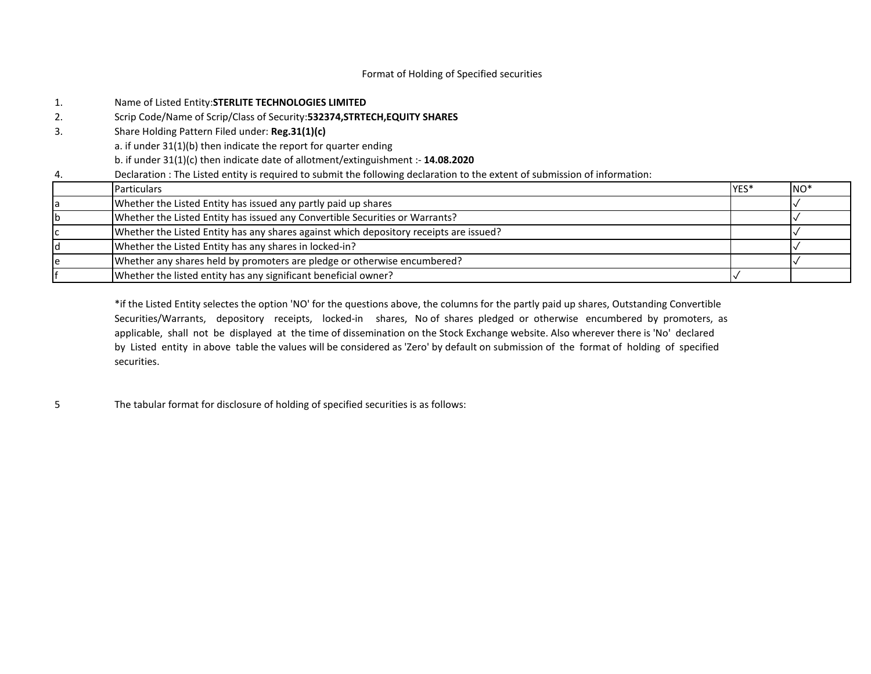# Format of Holding of Specified securities

| 1. | Name of Listed Entity: STERLITE TECHNOLOGIES LIMITED                                                                        |      |                 |
|----|-----------------------------------------------------------------------------------------------------------------------------|------|-----------------|
| 2. | Scrip Code/Name of Scrip/Class of Security: 532374, STRTECH, EQUITY SHARES                                                  |      |                 |
| 3. | Share Holding Pattern Filed under: Reg.31(1)(c)                                                                             |      |                 |
|    | a. if under 31(1)(b) then indicate the report for quarter ending                                                            |      |                 |
|    | b. if under $31(1)(c)$ then indicate date of allotment/extinguishment :- 14.08.2020                                         |      |                 |
| 4. | Declaration : The Listed entity is required to submit the following declaration to the extent of submission of information: |      |                 |
|    | <b>Particulars</b>                                                                                                          | YES* | NO <sup>*</sup> |
|    | Whether the Listed Entity has issued any partly paid up shares                                                              |      |                 |
|    | Whether the Listed Entity has issued any Convertible Securities or Warrants?                                                |      |                 |
|    | Whether the Listed Entity has any shares against which depository receipts are issued?                                      |      |                 |
|    | Whether the Listed Entity has any shares in locked-in?                                                                      |      |                 |
| ıе | Whether any shares held by promoters are pledge or otherwise encumbered?                                                    |      |                 |
|    | Whether the listed entity has any significant beneficial owner?                                                             |      |                 |

\*if the Listed Entity selectes the option 'NO' for the questions above, the columns for the partly paid up shares, Outstanding Convertible Securities/Warrants, depository receipts, locked-in shares, No of shares pledged or otherwise encumbered by promoters, as applicable, shall not be displayed at the time of dissemination on the Stock Exchange website. Also wherever there is 'No' declared by Listed entity in above table the values will be considered as 'Zero' by default on submission of the format of holding of specified securities.

5 The tabular format for disclosure of holding of specified securities is as follows: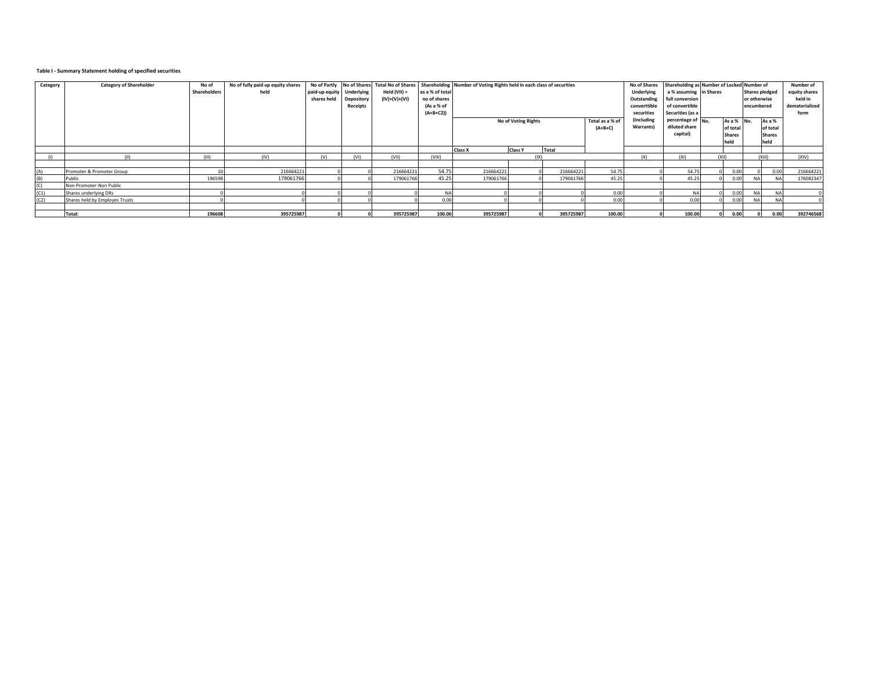## **Table I - Summary Statement holding of specified securities**

| Category | <b>Category of Shareholder</b> | No of<br>Shareholders | No of fully paid up equity shares<br>held | No of Partly No of Shares<br>paid-up equity Underlying<br>shares held | Depository<br>Receipts | <b>Total No of Shares</b><br>Held (VII) =<br>(IV)+(V)+(VI) | as a % of total<br>no of shares<br>(As a % of<br>$(A+B+C2)$ | Shareholding Number of Voting Rights held in each class of securities |                              | No of Shares<br>Underlying<br>Outstanding<br>converttible<br>securities | Shareholding as Number of Locked Number of<br>a % assuming lin Shares<br>full conversion<br>of convertible<br>Securities (as a |                                                 | or otherwise<br>encumbered | <b>Shares pledged</b>                       | Number of<br>equity shares<br>held in<br>dematerialized<br>form |           |           |
|----------|--------------------------------|-----------------------|-------------------------------------------|-----------------------------------------------------------------------|------------------------|------------------------------------------------------------|-------------------------------------------------------------|-----------------------------------------------------------------------|------------------------------|-------------------------------------------------------------------------|--------------------------------------------------------------------------------------------------------------------------------|-------------------------------------------------|----------------------------|---------------------------------------------|-----------------------------------------------------------------|-----------|-----------|
|          |                                |                       |                                           |                                                                       |                        |                                                            |                                                             | <b>No of Voting Rights</b>                                            | Total as a % of<br>$(A+B+C)$ | (Including<br>Warrants)                                                 | percentage of $N_0$ .<br>diluted share<br>capital)                                                                             | As a % No.<br>of total<br><b>Shares</b><br>held |                            | As a %<br>of total<br><b>Shares</b><br>held |                                                                 |           |           |
|          |                                |                       |                                           |                                                                       |                        |                                                            |                                                             | <b>Class X</b>                                                        | <b>Class Y</b>               | Total                                                                   |                                                                                                                                |                                                 |                            |                                             |                                                                 |           |           |
|          |                                | (111)                 | (IV)                                      | (V)                                                                   | (VI)                   | (VII)                                                      | (VIII)                                                      |                                                                       | (IX)                         |                                                                         |                                                                                                                                | (X)                                             | (x <sub>1</sub> )          | (X  )                                       |                                                                 | (X  )     | (XIV)     |
|          |                                |                       |                                           |                                                                       |                        |                                                            |                                                             |                                                                       |                              |                                                                         |                                                                                                                                |                                                 |                            |                                             |                                                                 |           |           |
| (A)      | Promoter & Promoter Group      |                       | 216664221                                 |                                                                       |                        | 216664221                                                  | 54.75                                                       | 216664221                                                             |                              | 216664221                                                               | 54.75                                                                                                                          |                                                 | 54.75                      | 0.00                                        |                                                                 | 0.00      | 216664221 |
| (B)      | Public                         | 196598                | 179061766                                 |                                                                       |                        | 179061766                                                  | 45.25                                                       | 179061766                                                             |                              | 179061766                                                               | 45.25                                                                                                                          |                                                 | 45.25                      | 0.00                                        |                                                                 | <b>NA</b> | 176082347 |
|          | Non Promoter-Non Public        |                       |                                           |                                                                       |                        |                                                            |                                                             |                                                                       |                              |                                                                         |                                                                                                                                |                                                 |                            |                                             |                                                                 |           |           |
| (C1)     | Shares underlying DRs          |                       |                                           |                                                                       |                        |                                                            | <b>NA</b>                                                   |                                                                       |                              |                                                                         | 0.00                                                                                                                           |                                                 | NA                         | 0.00                                        | NΔ                                                              |           |           |
| (C2)     | Shares held by Employes Trusts |                       |                                           |                                                                       |                        |                                                            | 0.00                                                        |                                                                       |                              |                                                                         | 0.00                                                                                                                           |                                                 | 0.00                       | 0.001                                       | <b>NA</b>                                                       |           |           |
|          |                                |                       |                                           |                                                                       |                        |                                                            |                                                             |                                                                       |                              |                                                                         |                                                                                                                                |                                                 |                            |                                             |                                                                 |           |           |
|          | Total:                         | 196608                | 395725987                                 |                                                                       |                        | 395725987                                                  | 100.00                                                      | 395725987                                                             |                              | 395725987                                                               | 100.00                                                                                                                         |                                                 | 100.00                     | 0.00                                        |                                                                 | 0.00      | 392746568 |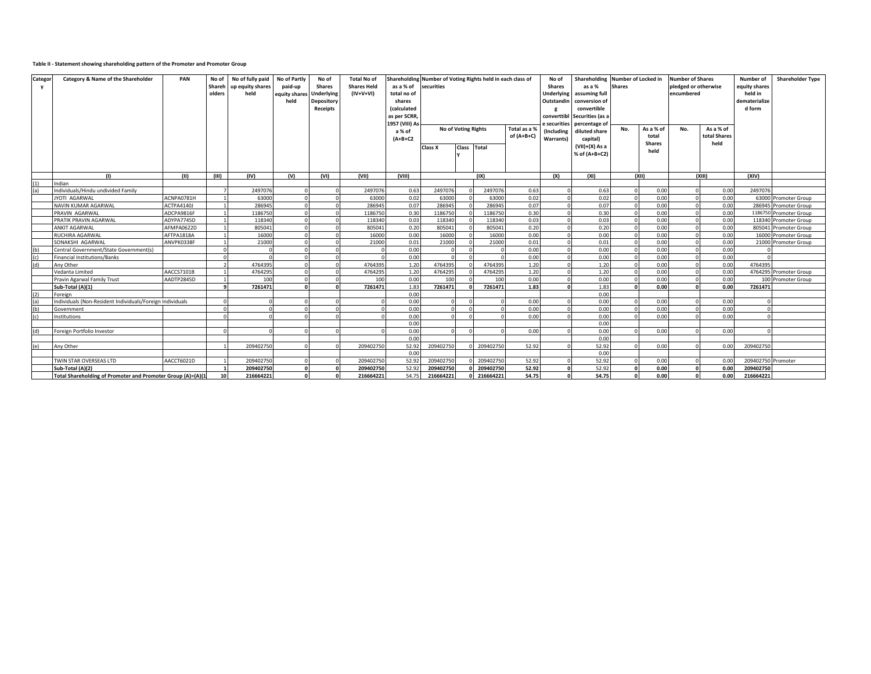### **Table II - Statement showing shareholding pattern of the Promoter and Promoter Group**

| Categor<br>y | Category & Name of the Shareholder                          | PAN        | No of<br>Shareh<br>olders | No of fully paid<br>up equity shares<br>held | No of Partly<br>paid-up<br>equity shares<br>held | No of<br><b>Shares</b><br>Underlying<br>Depository<br>Receipts | <b>Total No of</b><br><b>Shares Held</b><br>$(IV+V+VI)$ | as a % of<br>total no of<br>shares<br>(calculated<br>as per SCRR,<br>1957 (VIII) As<br>a % of<br>$(A+B+C2$ | Shareholding Number of Voting Rights held in each class of<br>securities<br><b>No of Voting Rights</b><br>Total as a %<br>of (A+B+C)<br>Class Total<br>Class X |          |           |       | No of<br><b>Shares</b><br>Underlying<br>Outstandin<br>securities ؛<br>(Including<br>Warrants) | Shareholding Number of Locked in<br>as a %<br>assuming full<br>conversion of<br>convertible<br>converttibl Securities (as a<br>percentage of<br>diluted share<br>capital)<br>$(VII)+(X)$ As a<br>% of (A+B+C2) | <b>Shares</b><br>No. | As a % of<br>total<br><b>Shares</b><br>held |  |        |                    | encumbered             |  |  |  |  |  |  |  |  |  |  |  |  |  |  |  | <b>Number of Shares</b><br>pledged or otherwise<br>As a % of<br>total Shares<br>held | Number of<br>equity shares<br>held in<br>dematerialize<br>d form | <b>Shareholder Type</b> |
|--------------|-------------------------------------------------------------|------------|---------------------------|----------------------------------------------|--------------------------------------------------|----------------------------------------------------------------|---------------------------------------------------------|------------------------------------------------------------------------------------------------------------|----------------------------------------------------------------------------------------------------------------------------------------------------------------|----------|-----------|-------|-----------------------------------------------------------------------------------------------|----------------------------------------------------------------------------------------------------------------------------------------------------------------------------------------------------------------|----------------------|---------------------------------------------|--|--------|--------------------|------------------------|--|--|--|--|--|--|--|--|--|--|--|--|--|--|--|--------------------------------------------------------------------------------------|------------------------------------------------------------------|-------------------------|
|              | (1)                                                         | (II)       | (III)                     | (IV)                                         | (V)                                              | (VI)                                                           | (VII)                                                   | (VIII)                                                                                                     |                                                                                                                                                                |          | (IX)      |       | (X)                                                                                           | (XI)                                                                                                                                                                                                           |                      | (X  )                                       |  | (XIII) | (XIV)              |                        |  |  |  |  |  |  |  |  |  |  |  |  |  |  |  |                                                                                      |                                                                  |                         |
| (1)          | Indian                                                      |            |                           |                                              |                                                  |                                                                |                                                         |                                                                                                            |                                                                                                                                                                |          |           |       |                                                                                               |                                                                                                                                                                                                                |                      |                                             |  |        |                    |                        |  |  |  |  |  |  |  |  |  |  |  |  |  |  |  |                                                                                      |                                                                  |                         |
| (a)          | Individuals/Hindu undivided Family                          |            |                           | 2497076                                      |                                                  |                                                                | 2497076                                                 | 0.63                                                                                                       | 2497076                                                                                                                                                        | $\Omega$ | 2497076   | 0.63  |                                                                                               | 0.63                                                                                                                                                                                                           |                      | 0.00                                        |  | 0.00   | 2497076            |                        |  |  |  |  |  |  |  |  |  |  |  |  |  |  |  |                                                                                      |                                                                  |                         |
|              | <b>JYOTI AGARWAL</b>                                        | ACNPA0781H |                           | 63000                                        |                                                  |                                                                | 63000                                                   | 0.02                                                                                                       | 63000                                                                                                                                                          |          | 63000     | 0.02  |                                                                                               | 0.02                                                                                                                                                                                                           |                      | 0.00                                        |  | 0.00   |                    | 63000 Promoter Group   |  |  |  |  |  |  |  |  |  |  |  |  |  |  |  |                                                                                      |                                                                  |                         |
|              | <b>NAVIN KUMAR AGARWAL</b>                                  | ACTPA4140J |                           | 286945                                       |                                                  |                                                                | 286945                                                  | 0.07                                                                                                       | 286945                                                                                                                                                         |          | 286945    | 0.07  |                                                                                               | 0.07                                                                                                                                                                                                           |                      | 0.00                                        |  | 0.00   |                    | 286945 Promoter Group  |  |  |  |  |  |  |  |  |  |  |  |  |  |  |  |                                                                                      |                                                                  |                         |
|              | PRAVIN AGARWAL                                              | ADCPA9816F |                           | 1186750                                      |                                                  |                                                                | 1186750                                                 | 0.30                                                                                                       | 1186750                                                                                                                                                        |          | 1186750   | 0.30  |                                                                                               | 0.30                                                                                                                                                                                                           |                      | 0.00                                        |  | 0.00   |                    | 1186750 Promoter Group |  |  |  |  |  |  |  |  |  |  |  |  |  |  |  |                                                                                      |                                                                  |                         |
|              | PRATIK PRAVIN AGARWAL                                       | ADYPA7745D |                           | 118340                                       |                                                  |                                                                | 118340                                                  | 0.03                                                                                                       | 118340                                                                                                                                                         |          | 118340    | 0.03  |                                                                                               | 0.03                                                                                                                                                                                                           |                      | 0.00                                        |  | 0.00   |                    | 118340 Promoter Group  |  |  |  |  |  |  |  |  |  |  |  |  |  |  |  |                                                                                      |                                                                  |                         |
|              | <b>ANKIT AGARWAL</b>                                        | AFMPA0622D |                           | 805041                                       |                                                  |                                                                | 805041                                                  | 0.20                                                                                                       | 805041                                                                                                                                                         |          | 805041    | 0.20  | $\Omega$                                                                                      | 0.20                                                                                                                                                                                                           |                      | 0.00                                        |  | 0.00   |                    | 805041 Promoter Group  |  |  |  |  |  |  |  |  |  |  |  |  |  |  |  |                                                                                      |                                                                  |                         |
|              | RUCHIRA AGARWAL                                             | AFTPA1818A |                           | 16000                                        |                                                  |                                                                | 16000                                                   | 0.00                                                                                                       | 16000                                                                                                                                                          |          | 16000     | 0.00  |                                                                                               | 0.00                                                                                                                                                                                                           |                      | 0.00                                        |  | 0.00   |                    | 16000 Promoter Group   |  |  |  |  |  |  |  |  |  |  |  |  |  |  |  |                                                                                      |                                                                  |                         |
|              | SONAKSHI AGARWAL                                            | ANVPK0338F |                           | 21000                                        |                                                  |                                                                | 21000                                                   | 0.01                                                                                                       | 21000                                                                                                                                                          |          | 21000     | 0.01  | $\Omega$                                                                                      | 0.01                                                                                                                                                                                                           |                      | 0.00                                        |  | 0.00   |                    | 21000 Promoter Group   |  |  |  |  |  |  |  |  |  |  |  |  |  |  |  |                                                                                      |                                                                  |                         |
| (h)          | Central Government/State Government(s)                      |            |                           |                                              |                                                  |                                                                |                                                         | 0.00                                                                                                       |                                                                                                                                                                |          |           | 0.00  |                                                                                               | 0.00                                                                                                                                                                                                           |                      | 0.00                                        |  | 0.00   |                    |                        |  |  |  |  |  |  |  |  |  |  |  |  |  |  |  |                                                                                      |                                                                  |                         |
| (c)          | Financial Institutions/Banks                                |            |                           |                                              |                                                  |                                                                |                                                         | 0.00                                                                                                       | $\sqrt{ }$                                                                                                                                                     |          | $\Omega$  | 0.00  |                                                                                               | 0.00                                                                                                                                                                                                           |                      | 0.00                                        |  | 0.00   |                    |                        |  |  |  |  |  |  |  |  |  |  |  |  |  |  |  |                                                                                      |                                                                  |                         |
| (d)          | Anv Other                                                   |            |                           | 4764395                                      |                                                  |                                                                | 4764395                                                 | 1.20                                                                                                       | 4764395                                                                                                                                                        |          | 4764395   | 1.20  |                                                                                               | 1.20                                                                                                                                                                                                           |                      | 0.00                                        |  | 0.00   | 4764395            |                        |  |  |  |  |  |  |  |  |  |  |  |  |  |  |  |                                                                                      |                                                                  |                         |
|              | Vedanta Limited                                             | AACCS7101B |                           | 4764295                                      |                                                  |                                                                | 4764295                                                 | 1.20                                                                                                       | 4764295                                                                                                                                                        |          | 4764295   | 1.20  |                                                                                               | 1.20                                                                                                                                                                                                           |                      | 0.00                                        |  | 0.00   |                    | 4764295 Promoter Group |  |  |  |  |  |  |  |  |  |  |  |  |  |  |  |                                                                                      |                                                                  |                         |
|              | Pravin Agarwal Family Trust                                 | AADTP2845D |                           | 100                                          |                                                  |                                                                | 100                                                     | 0.00                                                                                                       | 100                                                                                                                                                            |          | 100       | 0.00  |                                                                                               | 0.00                                                                                                                                                                                                           |                      | 0.00                                        |  | 0.00   |                    | 100 Promoter Group     |  |  |  |  |  |  |  |  |  |  |  |  |  |  |  |                                                                                      |                                                                  |                         |
|              | Sub-Total (A)(1)                                            |            |                           | 7261471                                      |                                                  |                                                                | 7261471                                                 | 1.83                                                                                                       | 7261471                                                                                                                                                        |          | 7261471   | 1.83  |                                                                                               | 1.83                                                                                                                                                                                                           |                      | 0.00                                        |  | 0.00   | 7261471            |                        |  |  |  |  |  |  |  |  |  |  |  |  |  |  |  |                                                                                      |                                                                  |                         |
| (2)          | Foreign                                                     |            |                           |                                              |                                                  |                                                                |                                                         | 0.00                                                                                                       |                                                                                                                                                                |          |           |       |                                                                                               | 0.00                                                                                                                                                                                                           |                      |                                             |  |        |                    |                        |  |  |  |  |  |  |  |  |  |  |  |  |  |  |  |                                                                                      |                                                                  |                         |
| (a)          | Individuals (Non-Resident Individuals/Foreign Individuals   |            |                           | $\Omega$                                     |                                                  |                                                                |                                                         | 0.00                                                                                                       | $\Omega$                                                                                                                                                       |          | $\Omega$  | 0.00  |                                                                                               | 0.00                                                                                                                                                                                                           |                      | 0.00                                        |  | 0.00   |                    |                        |  |  |  |  |  |  |  |  |  |  |  |  |  |  |  |                                                                                      |                                                                  |                         |
| (b)          | Government                                                  |            |                           | $\Omega$                                     |                                                  |                                                                |                                                         | 0.00                                                                                                       | $\Omega$                                                                                                                                                       |          | $\Omega$  | 0.00  |                                                                                               | 0.00                                                                                                                                                                                                           |                      | 0.00                                        |  | 0.00   |                    |                        |  |  |  |  |  |  |  |  |  |  |  |  |  |  |  |                                                                                      |                                                                  |                         |
| (c)          | nstitutions                                                 |            |                           |                                              |                                                  |                                                                |                                                         | 0.00                                                                                                       | $\Omega$                                                                                                                                                       |          |           | 0.00  |                                                                                               | 0.00                                                                                                                                                                                                           |                      | 0.00                                        |  | 0.00   |                    |                        |  |  |  |  |  |  |  |  |  |  |  |  |  |  |  |                                                                                      |                                                                  |                         |
|              |                                                             |            |                           |                                              |                                                  |                                                                |                                                         | 0.00                                                                                                       |                                                                                                                                                                |          |           |       |                                                                                               | 0.00                                                                                                                                                                                                           |                      |                                             |  |        |                    |                        |  |  |  |  |  |  |  |  |  |  |  |  |  |  |  |                                                                                      |                                                                  |                         |
| (d)          | Foreign Portfolio Investor                                  |            |                           |                                              |                                                  |                                                                |                                                         | 0.00                                                                                                       | $\Omega$                                                                                                                                                       | $\sim$   |           | 0.00  |                                                                                               | 0.00                                                                                                                                                                                                           |                      | 0.00                                        |  | 0.00   |                    |                        |  |  |  |  |  |  |  |  |  |  |  |  |  |  |  |                                                                                      |                                                                  |                         |
|              |                                                             |            |                           |                                              |                                                  |                                                                |                                                         | 0.00                                                                                                       |                                                                                                                                                                |          |           |       |                                                                                               | 0.00                                                                                                                                                                                                           |                      |                                             |  |        |                    |                        |  |  |  |  |  |  |  |  |  |  |  |  |  |  |  |                                                                                      |                                                                  |                         |
| (e)          | Any Other                                                   |            |                           | 209402750                                    |                                                  |                                                                | 209402750                                               | 52.92                                                                                                      | 209402750                                                                                                                                                      |          | 209402750 | 52.92 |                                                                                               | 52.92                                                                                                                                                                                                          |                      | 0.00                                        |  | 0.00   | 209402750          |                        |  |  |  |  |  |  |  |  |  |  |  |  |  |  |  |                                                                                      |                                                                  |                         |
|              |                                                             |            |                           |                                              |                                                  |                                                                |                                                         | 0.00                                                                                                       |                                                                                                                                                                |          |           |       |                                                                                               | 0.00                                                                                                                                                                                                           |                      |                                             |  |        |                    |                        |  |  |  |  |  |  |  |  |  |  |  |  |  |  |  |                                                                                      |                                                                  |                         |
|              | TWIN STAR OVERSEAS LTD                                      | AACCT6021D |                           | 209402750                                    |                                                  |                                                                | 209402750                                               | 52.92                                                                                                      | 209402750                                                                                                                                                      |          | 209402750 | 52.92 |                                                                                               | 52.92                                                                                                                                                                                                          |                      | 0.00                                        |  | 0.00   | 209402750 Promoter |                        |  |  |  |  |  |  |  |  |  |  |  |  |  |  |  |                                                                                      |                                                                  |                         |
|              | Sub-Total (A)(2)                                            |            | $\blacksquare$            | 209402750                                    |                                                  |                                                                | 209402750                                               | 52.92                                                                                                      | 209402750                                                                                                                                                      |          | 209402750 | 52.92 | $\Omega$                                                                                      | 52.92                                                                                                                                                                                                          |                      | 0.00                                        |  | 0.00   | 209402750          |                        |  |  |  |  |  |  |  |  |  |  |  |  |  |  |  |                                                                                      |                                                                  |                         |
|              | Total Shareholding of Promoter and Promoter Group (A)=(A)(1 |            | 10                        | 216664221                                    |                                                  |                                                                | 216664221                                               | 54.75                                                                                                      | 216664221                                                                                                                                                      |          | 216664221 | 54.75 | $\Omega$                                                                                      | 54.75                                                                                                                                                                                                          |                      | 0.00                                        |  | 0.00   | 216664221          |                        |  |  |  |  |  |  |  |  |  |  |  |  |  |  |  |                                                                                      |                                                                  |                         |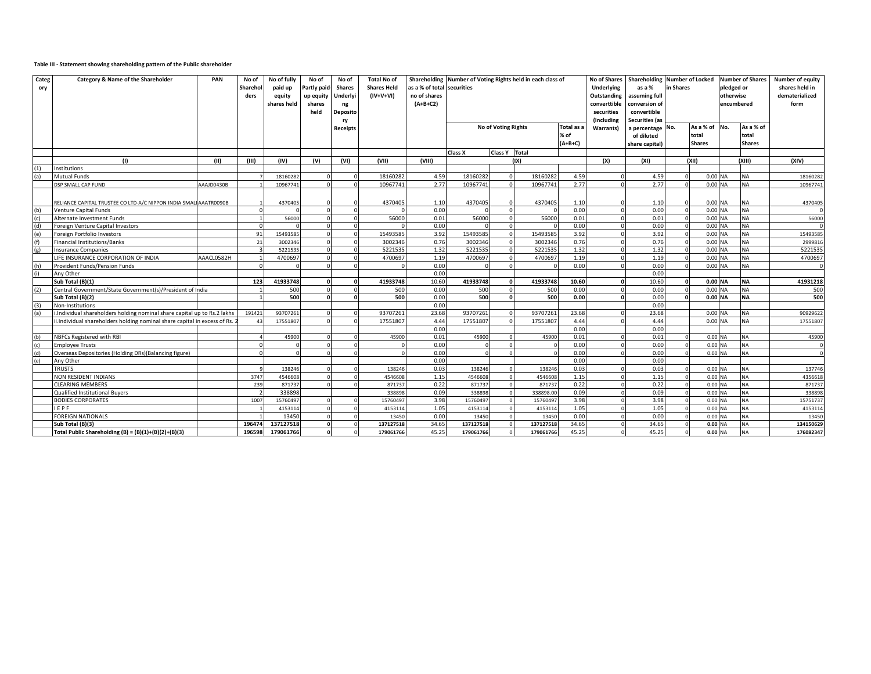### **Table III - Statement showing shareholding pattern of the Public shareholder**

| Categ<br>ory | Category & Name of the Shareholder                                       | PAN        | No of<br>Shareho<br>ders | No of fully<br>paid up<br>equity<br>shares held | No of<br>Partly paid<br>up equity<br>shares<br>held | No of<br><b>Shares</b><br>Underlyi<br>ng<br>Deposito<br>rv | <b>Total No of</b><br><b>Shares Held</b><br>$(IV+V+VI)$ | Shareholding<br>as a % of total securities<br>no of shares<br>$(A+B+C2)$ |                   |                     | Number of Voting Rights held in each class of |                                 | <b>No of Shares</b><br>Underlying<br>Outstanding<br>converttible<br>securities<br>(Including | Shareholding Number of Locked<br>as a %<br>in Shares<br>assuming full<br>conversion of<br>convertible<br><b>Securities (as</b> |  | <b>Number of Shares</b><br>pledged or<br>otherwise<br>encumbered |  | Number of equity<br>shares held in<br>dematerialized<br>form |                   |
|--------------|--------------------------------------------------------------------------|------------|--------------------------|-------------------------------------------------|-----------------------------------------------------|------------------------------------------------------------|---------------------------------------------------------|--------------------------------------------------------------------------|-------------------|---------------------|-----------------------------------------------|---------------------------------|----------------------------------------------------------------------------------------------|--------------------------------------------------------------------------------------------------------------------------------|--|------------------------------------------------------------------|--|--------------------------------------------------------------|-------------------|
|              |                                                                          |            |                          |                                                 |                                                     | <b>Receipts</b>                                            |                                                         |                                                                          |                   | No of Voting Rights |                                               | Total as a<br>% of<br>$(A+B+C)$ | Warrants)                                                                                    | a percentage No.<br>of diluted                                                                                                 |  | As a % of No.<br>total<br><b>Shares</b>                          |  | As a % of<br>total<br><b>Shares</b>                          |                   |
|              |                                                                          |            |                          |                                                 |                                                     |                                                            |                                                         |                                                                          | Class X           | Class Y Total       |                                               |                                 |                                                                                              | share capital)                                                                                                                 |  |                                                                  |  |                                                              |                   |
|              | (1)                                                                      | (11)       | (III)                    | (IV)                                            | (V)                                                 | (VI)                                                       | (VII)                                                   | (VIII)                                                                   |                   |                     | (IX)                                          |                                 | (X)                                                                                          | (XI)                                                                                                                           |  | (X  )                                                            |  | (XIII)                                                       | (XIV)             |
|              | Institutions                                                             |            |                          |                                                 |                                                     |                                                            |                                                         |                                                                          |                   |                     |                                               |                                 |                                                                                              |                                                                                                                                |  |                                                                  |  |                                                              |                   |
|              | <b>Mutual Funds</b>                                                      |            |                          | 18160282                                        |                                                     |                                                            | 18160282                                                | 4.59                                                                     | 18160282          |                     | 18160282                                      | 4.59                            |                                                                                              | 4.59                                                                                                                           |  | 0.00 NA                                                          |  | <b>NA</b>                                                    | 18160282          |
|              | DSP SMALL CAP FUND                                                       | AAAJD0430B |                          | 10967741                                        |                                                     |                                                            | 10967741                                                | 2.77                                                                     | 10967741          |                     | 10967741                                      | 2.77                            |                                                                                              | 2.77                                                                                                                           |  | 0.00 NA                                                          |  | <b>NA</b>                                                    | 1096774           |
|              |                                                                          |            |                          |                                                 |                                                     |                                                            |                                                         |                                                                          |                   |                     |                                               |                                 |                                                                                              |                                                                                                                                |  |                                                                  |  |                                                              |                   |
|              | RELIANCE CAPITAL TRUSTEE CO LTD-A/C NIPPON INDIA SMALI AAATR0090B        |            |                          | 4370405                                         |                                                     |                                                            | 4370405                                                 | 1.10                                                                     | 4370405           | n                   | 4370405                                       | 1.10                            | $\Omega$                                                                                     | 1.10                                                                                                                           |  | 0.00 NA                                                          |  | <b>NA</b>                                                    | 4370405           |
|              | <b>Venture Capital Funds</b>                                             |            |                          | $\Omega$                                        | $\mathbf 0$                                         |                                                            |                                                         | 0.00                                                                     |                   |                     |                                               | 0.00                            |                                                                                              | 0.00                                                                                                                           |  | 0.00 NA                                                          |  | <b>NA</b>                                                    |                   |
|              | Alternate Investment Funds                                               |            |                          | 56000                                           | $\Omega$                                            |                                                            | 56000                                                   | 0.01                                                                     | 56000             |                     | 56000                                         | 0.01                            | $\sim$                                                                                       | 0.01                                                                                                                           |  | 0.00 NA                                                          |  | <b>NA</b>                                                    | 56000             |
|              | Foreign Venture Capital Investors                                        |            |                          |                                                 |                                                     |                                                            |                                                         | 0.00                                                                     |                   |                     |                                               | 0.00                            |                                                                                              | 0.00                                                                                                                           |  | 0.00 NA                                                          |  | <b>NA</b>                                                    |                   |
|              | Foreign Portfolio Investors                                              |            | 91                       | 15493585                                        | $\Omega$                                            |                                                            | 15493585                                                | 3.92                                                                     | 15493585          |                     | 1549358                                       | 3.92                            |                                                                                              | 3.92                                                                                                                           |  | 0.00 NA                                                          |  | <b>NA</b>                                                    | 15493585          |
|              | Financial Institutions/Banks                                             |            | 21                       | 3002346                                         | $\Omega$                                            |                                                            | 3002346                                                 | 0.76                                                                     | 3002346           |                     | 3002346                                       | 0.76                            | $\cap$                                                                                       | 0.76                                                                                                                           |  | 0.00 NA                                                          |  | <b>NA</b>                                                    | 2999816           |
|              | <b>Insurance Companies</b>                                               |            |                          | 5221535                                         | $\Omega$                                            |                                                            | 5221535                                                 | 1.32                                                                     | 5221535           |                     | 522153                                        | 1.32                            |                                                                                              | 1.32                                                                                                                           |  | 0.00 NA                                                          |  | <b>NA</b>                                                    | 5221535           |
|              | LIFE INSURANCE CORPORATION OF INDIA                                      | AAACL0582H |                          | 4700697                                         |                                                     |                                                            | 470069                                                  | 1.19                                                                     | 470069            |                     | 4700697                                       | 1.19                            |                                                                                              | 1.19                                                                                                                           |  | 0.00 NA                                                          |  | <b>NA</b>                                                    | 4700697           |
|              | Provident Funds/Pension Funds                                            |            |                          | $\Omega$                                        | $\Omega$                                            |                                                            |                                                         | 0.00                                                                     |                   |                     |                                               | 0.00                            |                                                                                              | 0.00                                                                                                                           |  | 0.00 NA                                                          |  | <b>NA</b>                                                    |                   |
|              | Any Other                                                                |            |                          |                                                 |                                                     |                                                            |                                                         | 0.00                                                                     |                   |                     |                                               |                                 |                                                                                              | 0.00                                                                                                                           |  |                                                                  |  |                                                              |                   |
|              | Sub Total (B)(1)                                                         |            | 123                      | 41933748                                        |                                                     |                                                            | 41933748                                                | 10.60                                                                    | 41933748          |                     | 41933748                                      | 10.60                           |                                                                                              | 10.60                                                                                                                          |  | 0.00 NA                                                          |  | <b>NA</b>                                                    | 41931218          |
|              | Central Government/State Government(s)/President of India                |            |                          | 500                                             |                                                     |                                                            | 500                                                     | 0.00                                                                     | 500               |                     | 500                                           | 0.00                            |                                                                                              | 0.00                                                                                                                           |  | 0.00 NA                                                          |  | <b>NA</b>                                                    | 500               |
|              | Sub Total (B)(2)                                                         |            |                          | 500                                             |                                                     |                                                            | 500                                                     | 0.00                                                                     | 500               |                     | 500                                           | 0.00                            |                                                                                              | 0.00                                                                                                                           |  | 0.00 NA                                                          |  | <b>NA</b>                                                    | 500               |
|              | Non-Institutions                                                         |            |                          |                                                 |                                                     |                                                            |                                                         | 0.00                                                                     |                   |                     |                                               |                                 |                                                                                              | 0.00                                                                                                                           |  |                                                                  |  |                                                              |                   |
|              | i.Individual shareholders holding nominal share capital up to Rs.2 lakhs |            | 191421                   | 93707261                                        | $\Omega$                                            |                                                            | 93707261                                                | 23.68                                                                    | 93707261          |                     | 93707261                                      | 23.68                           |                                                                                              | 23.68                                                                                                                          |  | 0.00 NA                                                          |  | <b>NA</b>                                                    | 90929622          |
|              | i.Individual shareholders holding nominal share capital in excess of Rs. |            | 43                       | 17551807                                        |                                                     |                                                            | 1755180                                                 | 4.44                                                                     | 17551807          |                     | 17551807                                      | 4.44                            |                                                                                              | 4.44                                                                                                                           |  | $0.00$ NA                                                        |  | <b>NA</b>                                                    | 17551807          |
|              |                                                                          |            |                          |                                                 |                                                     |                                                            |                                                         | 0.00                                                                     |                   |                     |                                               | 0.00                            |                                                                                              | 0.00                                                                                                                           |  |                                                                  |  |                                                              |                   |
|              | NBFCs Registered with RBI                                                |            |                          | 45900                                           |                                                     |                                                            | 45900                                                   | 0.01                                                                     | 45900             |                     | 45900                                         | 0.01                            |                                                                                              | 0.01                                                                                                                           |  | 0.00 NA                                                          |  | <b>NA</b>                                                    | 45900             |
|              | <b>Employee Trusts</b>                                                   |            |                          | $\Omega$                                        |                                                     |                                                            |                                                         | 0.00                                                                     |                   |                     |                                               | 0.00                            |                                                                                              | 0.00                                                                                                                           |  | 0.00 NA                                                          |  | <b>NA</b>                                                    | $\Omega$          |
|              | Overseas Depositories (Holding DRs)(Balancing figure)                    |            |                          | $\Omega$                                        |                                                     |                                                            |                                                         | 0.00                                                                     |                   |                     |                                               | 0.00                            |                                                                                              | 0.00                                                                                                                           |  | 0.00 NA                                                          |  | <b>NA</b>                                                    |                   |
|              | Any Other<br><b>TRUSTS</b>                                               |            |                          |                                                 |                                                     |                                                            |                                                         | 0.00<br>0.03                                                             |                   |                     |                                               | 0.00<br>0.03                    |                                                                                              | 0.00<br>0.03                                                                                                                   |  |                                                                  |  |                                                              |                   |
|              | NON RESIDENT INDIANS                                                     |            | 3747                     | 138246<br>4546608                               | $\Omega$                                            |                                                            | 138246<br>4546608                                       | 1.15                                                                     | 138246<br>4546608 |                     | 13824<br>4546608                              | 1.15                            |                                                                                              | 1.15                                                                                                                           |  | 0.00 NA<br>0.00 NA                                               |  | <b>NA</b><br><b>NA</b>                                       | 137746<br>4356618 |
|              | <b>CLEARING MEMBERS</b>                                                  |            | 239                      | 871737                                          |                                                     |                                                            | 871737                                                  | 0.22                                                                     | 871737            |                     | 871737                                        | 0.22                            |                                                                                              | 0.22                                                                                                                           |  | 0.00 NA                                                          |  | <b>NA</b>                                                    | 871737            |
|              | Qualified Institutional Buyers                                           |            |                          | 338898                                          |                                                     |                                                            | 338898                                                  | 0.09                                                                     | 338898            |                     | 338898.00                                     | 0.09                            |                                                                                              | 0.09                                                                                                                           |  | 0.00 NA                                                          |  | <b>NA</b>                                                    | 338898            |
|              | <b>BODIES CORPORATES</b>                                                 |            | 1007                     | 15760497                                        |                                                     |                                                            | 15760497                                                | 3.98                                                                     | 15760497          |                     | 15760497                                      | 3.98                            |                                                                                              | 3.98                                                                                                                           |  | 0.00 NA                                                          |  | <b>NA</b>                                                    | 15751737          |
|              | <b>IFPF</b>                                                              |            |                          | 4153114                                         | $\Omega$                                            |                                                            | 4153114                                                 | 1.05                                                                     | 4153114           |                     | 4153114                                       | 1.05                            | $\sqrt{ }$                                                                                   | 1.05                                                                                                                           |  | 0.00 NA                                                          |  | <b>NA</b>                                                    | 4153114           |
|              | <b>FOREIGN NATIONALS</b>                                                 |            |                          | 13450                                           |                                                     |                                                            | 13450                                                   | 0.00                                                                     | 13450             |                     | 13450                                         | 0.00                            |                                                                                              | 0.00                                                                                                                           |  | 0.00 NA                                                          |  | <b>NA</b>                                                    | 13450             |
|              | Sub Total (B)(3)                                                         |            | 196474                   | 137127518                                       |                                                     |                                                            | 137127518                                               | 34.65                                                                    | 137127518         |                     | 137127518                                     | 34.65                           |                                                                                              | 34.65                                                                                                                          |  | $0.00$ NA                                                        |  | <b>NA</b>                                                    | 134150629         |
|              | Total Public Shareholding (B) = $(B)(1)+(B)(2)+(B)(3)$                   |            | 196598                   | 179061766                                       | $\Omega$                                            |                                                            | 179061766                                               | 45.25                                                                    | 179061766         |                     | 179061766                                     | 45.25                           |                                                                                              | 45.25                                                                                                                          |  | $0.00$ NA                                                        |  | <b>NA</b>                                                    | 176082347         |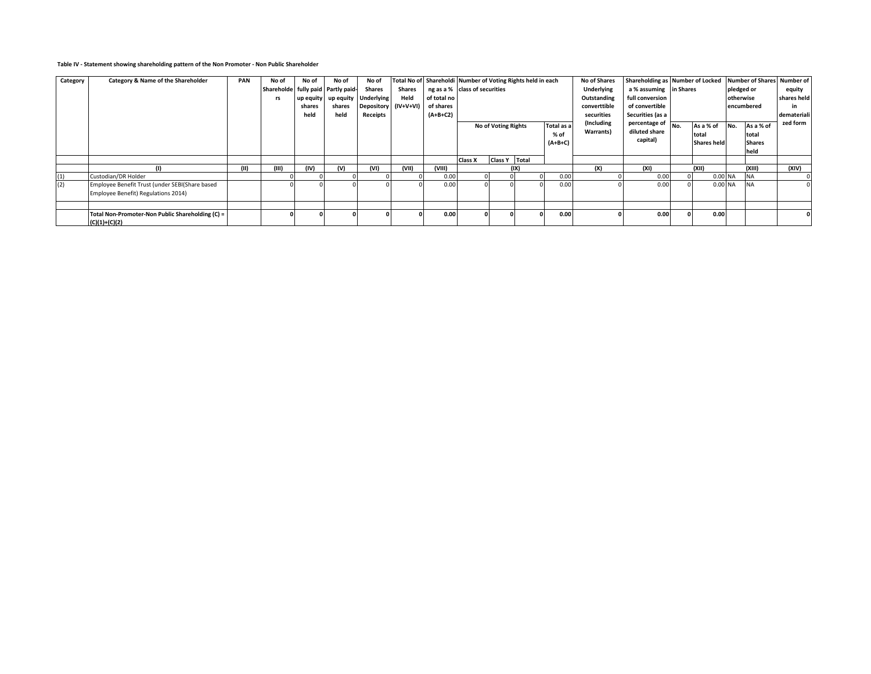#### **Table IV - Statement showing shareholding pattern of the Non Promoter - Non Public Shareholder**

| Category | Category & Name of the Shareholder               | <b>PAN</b> | No of                              | No of     | No of     | No of                |        |             | Total No of Shareholdi Number of Voting Rights held in each |                 |      | No of Shares | Shareholding as Number of Locked |                 |                    |            |               | Number of Shares Number of |             |
|----------|--------------------------------------------------|------------|------------------------------------|-----------|-----------|----------------------|--------|-------------|-------------------------------------------------------------|-----------------|------|--------------|----------------------------------|-----------------|--------------------|------------|---------------|----------------------------|-------------|
|          |                                                  |            | Shareholde fully paid Partly paid- |           |           | <b>Shares</b>        | Shares |             | ng as a % class of securities                               |                 |      | Underlying   | a % assuming in Shares           |                 |                    | pledged or |               | equity                     |             |
|          |                                                  |            | rs                                 | up equity | up equity | <b>Underlying</b>    | Held   | of total no |                                                             |                 |      |              | Outstanding                      | full conversion |                    |            | otherwise     |                            | shares held |
|          |                                                  |            |                                    | shares    | shares    | Depository (IV+V+VI) |        | of shares   |                                                             |                 |      |              | converttible                     | of convertible  |                    |            | encumbered    |                            | in          |
|          |                                                  |            |                                    | held      | held      | Receipts             |        | $(A+B+C2)$  |                                                             |                 |      | securities   | Securities (as a                 |                 |                    |            |               | demateriali                |             |
|          |                                                  |            |                                    |           |           |                      |        |             | Total as a<br>No of Voting Rights                           |                 |      | (Including   | percentage of                    | INo.            | As a % of          | No.        | As a % of     | zed form                   |             |
|          |                                                  |            |                                    |           |           |                      |        |             | $%$ of                                                      |                 |      | Warrants)    | diluted share                    |                 | total              |            | total         |                            |             |
|          |                                                  |            |                                    |           |           |                      |        |             | $(A+B+C)$                                                   |                 |      |              | capital)                         |                 | <b>Shares held</b> |            | <b>Shares</b> |                            |             |
|          |                                                  |            |                                    |           |           |                      |        |             |                                                             |                 |      |              |                                  |                 |                    |            | held          |                            |             |
|          |                                                  |            |                                    |           |           |                      |        |             | <b>Class X</b>                                              | Class Y   Total |      |              |                                  |                 |                    |            |               |                            |             |
|          |                                                  | (11)       | (III)                              | (IV)      | (V)       | (VI)                 | (VII)  | (VIII)      |                                                             |                 | (IX) |              | (X)                              | (XI)            |                    | (XII)      |               | (XIII)                     | (XIV)       |
| (1)      | Custodian/DR Holder                              |            |                                    |           |           |                      |        | 0.00        |                                                             |                 |      | 0.00         |                                  | 0.00            |                    | 0.00 NA    |               | <b>NA</b>                  |             |
| (2)      | Employee Benefit Trust (under SEBI(Share based   |            |                                    |           |           |                      |        | 0.00        |                                                             |                 |      | 0.00         |                                  | 0.00            |                    | 0.00 NA    |               | <b>INA</b>                 |             |
|          | Employee Benefit) Regulations 2014)              |            |                                    |           |           |                      |        |             |                                                             |                 |      |              |                                  |                 |                    |            |               |                            |             |
|          |                                                  |            |                                    |           |           |                      |        |             |                                                             |                 |      |              |                                  |                 |                    |            |               |                            |             |
|          | Total Non-Promoter-Non Public Shareholding (C) = |            |                                    |           |           |                      |        | 0.00        |                                                             |                 |      | 0.00         |                                  | 0.00            |                    | 0.00       |               |                            |             |
|          | $(C)(1)+(C)(2)$                                  |            |                                    |           |           |                      |        |             |                                                             |                 |      |              |                                  |                 |                    |            |               |                            |             |